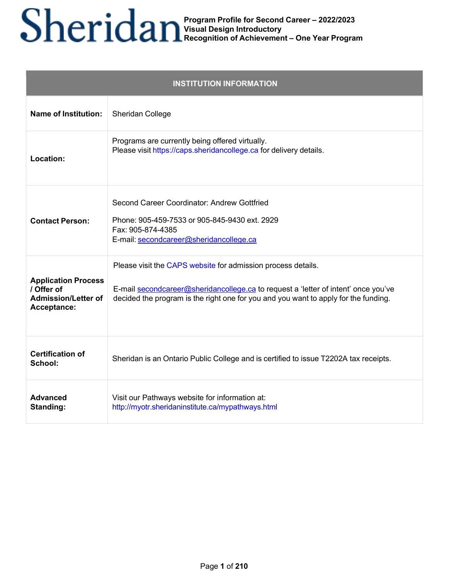| <b>INSTITUTION INFORMATION</b>                                                        |                                                                                                                                                                                                                                           |
|---------------------------------------------------------------------------------------|-------------------------------------------------------------------------------------------------------------------------------------------------------------------------------------------------------------------------------------------|
| <b>Name of Institution:</b>                                                           | Sheridan College                                                                                                                                                                                                                          |
| Location:                                                                             | Programs are currently being offered virtually.<br>Please visit https://caps.sheridancollege.ca for delivery details.                                                                                                                     |
| <b>Contact Person:</b>                                                                | Second Career Coordinator: Andrew Gottfried<br>Phone: 905-459-7533 or 905-845-9430 ext. 2929<br>Fax: 905-874-4385<br>E-mail: secondcareer@sheridancollege.ca                                                                              |
| <b>Application Process</b><br>/ Offer of<br><b>Admission/Letter of</b><br>Acceptance: | Please visit the CAPS website for admission process details.<br>E-mail secondcareer@sheridancollege.ca to request a 'letter of intent' once you've<br>decided the program is the right one for you and you want to apply for the funding. |
| <b>Certification of</b><br>School:                                                    | Sheridan is an Ontario Public College and is certified to issue T2202A tax receipts.                                                                                                                                                      |
| <b>Advanced</b><br><b>Standing:</b>                                                   | Visit our Pathways website for information at:<br>http://myotr.sheridaninstitute.ca/mypathways.html                                                                                                                                       |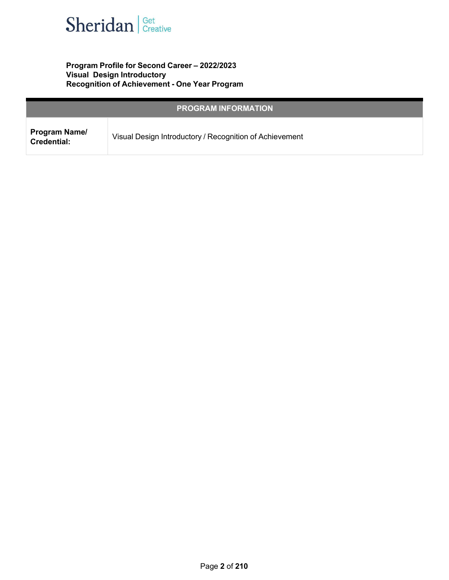

### **Program Profile for Second Career – 2022/2023 Visual Design Introductory Recognition of Achievement - One Year Program**

| <b>PROGRAM INFORMATION</b>          |                                                         |
|-------------------------------------|---------------------------------------------------------|
| Program Name/<br><b>Credential:</b> | Visual Design Introductory / Recognition of Achievement |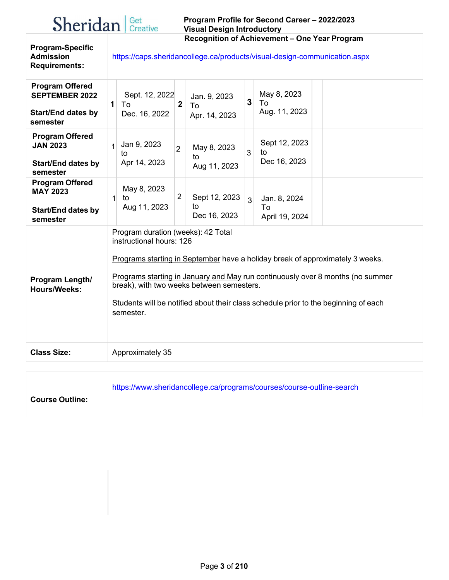| Sheridan <b>Set</b> |  |
|---------------------|--|
|                     |  |

#### **Program Profile for Second Career – 2022/2023 Visual Design Introductory Recognition of Achievement – One Year Program**

**Program-Specific Admission Requirements:**

<https://caps.sheridancollege.ca/products/visual-design-communication.aspx>

| <b>Program Offered</b><br><b>SEPTEMBER 2022</b><br><b>Start/End dates by</b><br>semester | May 8, 2023<br>Sept. 12, 2022<br>Jan. 9, 2023<br>3<br>To<br>$\boldsymbol{2}$<br>1<br>To<br>To<br>Aug. 11, 2023<br>Dec. 16, 2022<br>Apr. 14, 2023                                                                                                                                                                                                                                   |
|------------------------------------------------------------------------------------------|------------------------------------------------------------------------------------------------------------------------------------------------------------------------------------------------------------------------------------------------------------------------------------------------------------------------------------------------------------------------------------|
| <b>Program Offered</b><br><b>JAN 2023</b><br><b>Start/End dates by</b><br>semester       | Sept 12, 2023<br>Jan 9, 2023<br>$\mathbf{1}$<br>May 8, 2023<br>$\overline{2}$<br>3<br>to<br>to<br>to<br>Dec 16, 2023<br>Apr 14, 2023<br>Aug 11, 2023                                                                                                                                                                                                                               |
| <b>Program Offered</b><br><b>MAY 2023</b><br><b>Start/End dates by</b><br>semester       | May 8, 2023<br>$\overline{2}$<br>Sept 12, 2023<br>$\mathbf{1}$<br>Jan. 8, 2024<br>to<br>$\overline{3}$<br>Aug 11, 2023<br>to<br>To<br>Dec 16, 2023<br>April 19, 2024                                                                                                                                                                                                               |
| Program Length/<br><b>Hours/Weeks:</b>                                                   | Program duration (weeks): 42 Total<br>instructional hours: 126<br>Programs starting in September have a holiday break of approximately 3 weeks.<br>Programs starting in January and May run continuously over 8 months (no summer<br>break), with two weeks between semesters.<br>Students will be notified about their class schedule prior to the beginning of each<br>semester. |
| <b>Class Size:</b>                                                                       | Approximately 35                                                                                                                                                                                                                                                                                                                                                                   |
|                                                                                          |                                                                                                                                                                                                                                                                                                                                                                                    |

https:[//www.sheridancollege.ca/programs/courses/course-outline-search](http://www.sheridancollege.ca/programs/courses/course-outline-search)

**Course Outline:**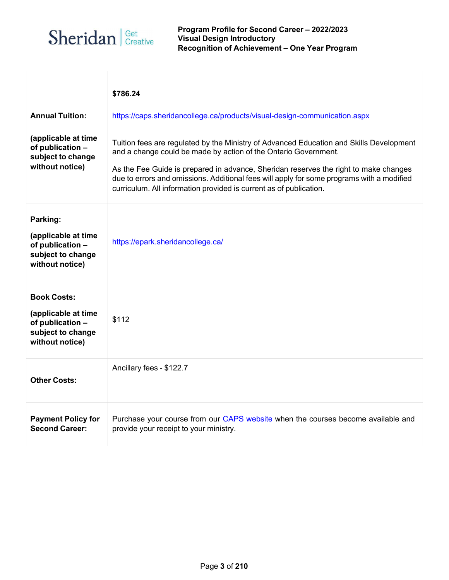

 $\overline{1}$ 

|                                                                                                       | \$786.24                                                                                                                                                                                                                                                                                                                                                                                                              |
|-------------------------------------------------------------------------------------------------------|-----------------------------------------------------------------------------------------------------------------------------------------------------------------------------------------------------------------------------------------------------------------------------------------------------------------------------------------------------------------------------------------------------------------------|
| <b>Annual Tuition:</b>                                                                                | https://caps.sheridancollege.ca/products/visual-design-communication.aspx                                                                                                                                                                                                                                                                                                                                             |
| (applicable at time<br>of publication -<br>subject to change<br>without notice)                       | Tuition fees are regulated by the Ministry of Advanced Education and Skills Development<br>and a change could be made by action of the Ontario Government.<br>As the Fee Guide is prepared in advance, Sheridan reserves the right to make changes<br>due to errors and omissions. Additional fees will apply for some programs with a modified<br>curriculum. All information provided is current as of publication. |
| Parking:<br>(applicable at time<br>of publication -<br>subject to change<br>without notice)           | https://epark.sheridancollege.ca/                                                                                                                                                                                                                                                                                                                                                                                     |
| <b>Book Costs:</b><br>(applicable at time<br>of publication -<br>subject to change<br>without notice) | \$112                                                                                                                                                                                                                                                                                                                                                                                                                 |
| <b>Other Costs:</b>                                                                                   | Ancillary fees - \$122.7                                                                                                                                                                                                                                                                                                                                                                                              |
| <b>Payment Policy for</b><br><b>Second Career:</b>                                                    | Purchase your course from our CAPS website when the courses become available and<br>provide your receipt to your ministry.                                                                                                                                                                                                                                                                                            |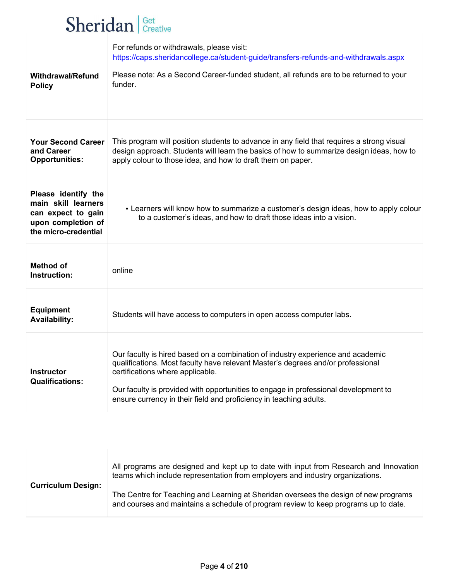# **Sheridan** *Creative*

| <b>Withdrawal/Refund</b><br><b>Policy</b>                                                                      | For refunds or withdrawals, please visit:<br>https://caps.sheridancollege.ca/student-guide/transfers-refunds-and-withdrawals.aspx<br>Please note: As a Second Career-funded student, all refunds are to be returned to your<br>funder.                                                                                                                              |
|----------------------------------------------------------------------------------------------------------------|---------------------------------------------------------------------------------------------------------------------------------------------------------------------------------------------------------------------------------------------------------------------------------------------------------------------------------------------------------------------|
| <b>Your Second Career</b><br>and Career<br><b>Opportunities:</b>                                               | This program will position students to advance in any field that requires a strong visual<br>design approach. Students will learn the basics of how to summarize design ideas, how to<br>apply colour to those idea, and how to draft them on paper.                                                                                                                |
| Please identify the<br>main skill learners<br>can expect to gain<br>upon completion of<br>the micro-credential | • Learners will know how to summarize a customer's design ideas, how to apply colour<br>to a customer's ideas, and how to draft those ideas into a vision.                                                                                                                                                                                                          |
| <b>Method of</b><br>Instruction:                                                                               | online                                                                                                                                                                                                                                                                                                                                                              |
| <b>Equipment</b><br><b>Availability:</b>                                                                       | Students will have access to computers in open access computer labs.                                                                                                                                                                                                                                                                                                |
| <b>Instructor</b><br><b>Qualifications:</b>                                                                    | Our faculty is hired based on a combination of industry experience and academic<br>qualifications. Most faculty have relevant Master's degrees and/or professional<br>certifications where applicable.<br>Our faculty is provided with opportunities to engage in professional development to<br>ensure currency in their field and proficiency in teaching adults. |

| <b>Curriculum Design:</b> | All programs are designed and kept up to date with input from Research and Innovation<br>teams which include representation from employers and industry organizations.      |
|---------------------------|-----------------------------------------------------------------------------------------------------------------------------------------------------------------------------|
|                           | The Centre for Teaching and Learning at Sheridan oversees the design of new programs<br>and courses and maintains a schedule of program review to keep programs up to date. |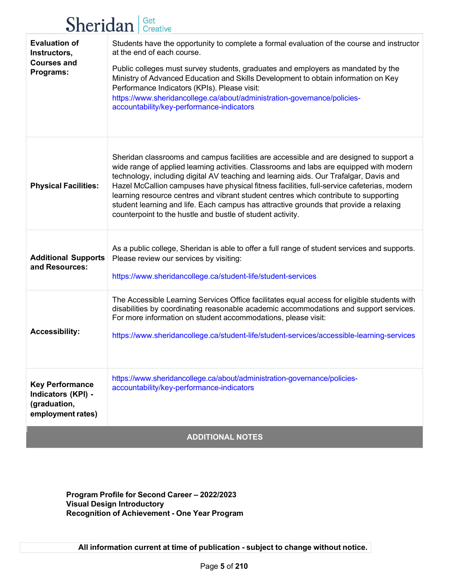## Sheridan Get Creative

| <b>Evaluation of</b><br>Instructors,<br><b>Courses and</b><br>Programs:           | Students have the opportunity to complete a formal evaluation of the course and instructor<br>at the end of each course.<br>Public colleges must survey students, graduates and employers as mandated by the<br>Ministry of Advanced Education and Skills Development to obtain information on Key<br>Performance Indicators (KPIs). Please visit:<br>https://www.sheridancollege.ca/about/administration-governance/policies-<br>accountability/key-performance-indicators                                                                                                                                             |
|-----------------------------------------------------------------------------------|-------------------------------------------------------------------------------------------------------------------------------------------------------------------------------------------------------------------------------------------------------------------------------------------------------------------------------------------------------------------------------------------------------------------------------------------------------------------------------------------------------------------------------------------------------------------------------------------------------------------------|
| <b>Physical Facilities:</b>                                                       | Sheridan classrooms and campus facilities are accessible and are designed to support a<br>wide range of applied learning activities. Classrooms and labs are equipped with modern<br>technology, including digital AV teaching and learning aids. Our Trafalgar, Davis and<br>Hazel McCallion campuses have physical fitness facilities, full-service cafeterias, modern<br>learning resource centres and vibrant student centres which contribute to supporting<br>student learning and life. Each campus has attractive grounds that provide a relaxing<br>counterpoint to the hustle and bustle of student activity. |
| <b>Additional Supports</b><br>and Resources:                                      | As a public college, Sheridan is able to offer a full range of student services and supports.<br>Please review our services by visiting:<br>https://www.sheridancollege.ca/student-life/student-services                                                                                                                                                                                                                                                                                                                                                                                                                |
| <b>Accessibility:</b>                                                             | The Accessible Learning Services Office facilitates equal access for eligible students with<br>disabilities by coordinating reasonable academic accommodations and support services.<br>For more information on student accommodations, please visit:<br>https://www.sheridancollege.ca/student-life/student-services/accessible-learning-services                                                                                                                                                                                                                                                                      |
| <b>Key Performance</b><br>Indicators (KPI) -<br>(graduation,<br>employment rates) | https://www.sheridancollege.ca/about/administration-governance/policies-<br>accountability/key-performance-indicators                                                                                                                                                                                                                                                                                                                                                                                                                                                                                                   |
| <b>ADDITIONAL NOTES</b>                                                           |                                                                                                                                                                                                                                                                                                                                                                                                                                                                                                                                                                                                                         |

**Program Profile for Second Career – 2022/2023 Visual Design Introductory Recognition of Achievement - One Year Program**